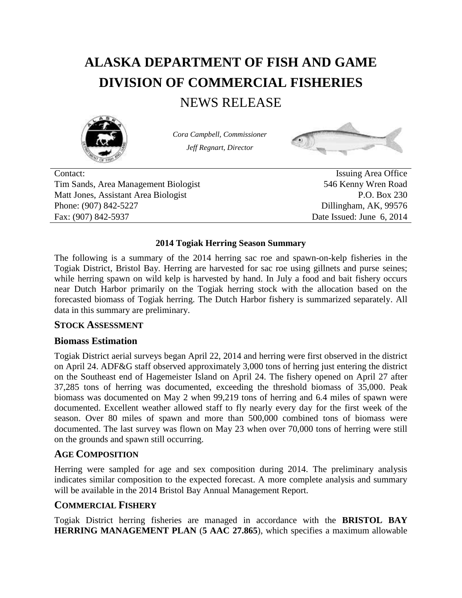# **ALASKA DEPARTMENT OF FISH AND GAME DIVISION OF COMMERCIAL FISHERIES**

# NEWS RELEASE



*Cora Campbell, Commissioner Jeff Regnart, Director*



Contact: Issuing Area Office Tim Sands, Area Management Biologist 546 Kenny Wren Road Matt Jones, Assistant Area Biologist P.O. Box 230 Phone: (907) 842-5227 Dillingham, AK, 99576 Fax: (907) 842-5937 Date Issued: June 6, 2014

#### **2014 Togiak Herring Season Summary**

The following is a summary of the 2014 herring sac roe and spawn-on-kelp fisheries in the Togiak District, Bristol Bay. Herring are harvested for sac roe using gillnets and purse seines; while herring spawn on wild kelp is harvested by hand. In July a food and bait fishery occurs near Dutch Harbor primarily on the Togiak herring stock with the allocation based on the forecasted biomass of Togiak herring. The Dutch Harbor fishery is summarized separately. All data in this summary are preliminary.

#### **STOCK ASSESSMENT**

#### **Biomass Estimation**

Togiak District aerial surveys began April 22, 2014 and herring were first observed in the district on April 24. ADF&G staff observed approximately 3,000 tons of herring just entering the district on the Southeast end of Hagemeister Island on April 24. The fishery opened on April 27 after 37,285 tons of herring was documented, exceeding the threshold biomass of 35,000. Peak biomass was documented on May 2 when 99,219 tons of herring and 6.4 miles of spawn were documented. Excellent weather allowed staff to fly nearly every day for the first week of the season. Over 80 miles of spawn and more than 500,000 combined tons of biomass were documented. The last survey was flown on May 23 when over 70,000 tons of herring were still on the grounds and spawn still occurring.

# **AGE COMPOSITION**

Herring were sampled for age and sex composition during 2014. The preliminary analysis indicates similar composition to the expected forecast. A more complete analysis and summary will be available in the 2014 Bristol Bay Annual Management Report.

#### **COMMERCIAL FISHERY**

Togiak District herring fisheries are managed in accordance with the **BRISTOL BAY HERRING MANAGEMENT PLAN** (**5 AAC 27.865**), which specifies a maximum allowable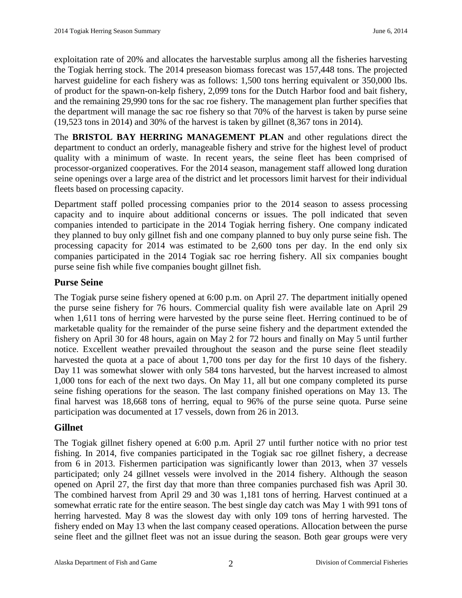exploitation rate of 20% and allocates the harvestable surplus among all the fisheries harvesting the Togiak herring stock. The 2014 preseason biomass forecast was 157,448 tons. The projected harvest guideline for each fishery was as follows: 1,500 tons herring equivalent or 350,000 lbs. of product for the spawn-on-kelp fishery, 2,099 tons for the Dutch Harbor food and bait fishery, and the remaining 29,990 tons for the sac roe fishery. The management plan further specifies that the department will manage the sac roe fishery so that 70% of the harvest is taken by purse seine (19,523 tons in 2014) and 30% of the harvest is taken by gillnet (8,367 tons in 2014).

The **BRISTOL BAY HERRING MANAGEMENT PLAN** and other regulations direct the department to conduct an orderly, manageable fishery and strive for the highest level of product quality with a minimum of waste. In recent years, the seine fleet has been comprised of processor-organized cooperatives. For the 2014 season, management staff allowed long duration seine openings over a large area of the district and let processors limit harvest for their individual fleets based on processing capacity.

Department staff polled processing companies prior to the 2014 season to assess processing capacity and to inquire about additional concerns or issues. The poll indicated that seven companies intended to participate in the 2014 Togiak herring fishery. One company indicated they planned to buy only gillnet fish and one company planned to buy only purse seine fish. The processing capacity for 2014 was estimated to be 2,600 tons per day. In the end only six companies participated in the 2014 Togiak sac roe herring fishery. All six companies bought purse seine fish while five companies bought gillnet fish.

## **Purse Seine**

The Togiak purse seine fishery opened at 6:00 p.m. on April 27. The department initially opened the purse seine fishery for 76 hours. Commercial quality fish were available late on April 29 when 1,611 tons of herring were harvested by the purse seine fleet. Herring continued to be of marketable quality for the remainder of the purse seine fishery and the department extended the fishery on April 30 for 48 hours, again on May 2 for 72 hours and finally on May 5 until further notice. Excellent weather prevailed throughout the season and the purse seine fleet steadily harvested the quota at a pace of about 1,700 tons per day for the first 10 days of the fishery. Day 11 was somewhat slower with only 584 tons harvested, but the harvest increased to almost 1,000 tons for each of the next two days. On May 11, all but one company completed its purse seine fishing operations for the season. The last company finished operations on May 13. The final harvest was 18,668 tons of herring, equal to 96% of the purse seine quota. Purse seine participation was documented at 17 vessels, down from 26 in 2013.

#### **Gillnet**

The Togiak gillnet fishery opened at 6:00 p.m. April 27 until further notice with no prior test fishing. In 2014, five companies participated in the Togiak sac roe gillnet fishery, a decrease from 6 in 2013. Fishermen participation was significantly lower than 2013, when 37 vessels participated; only 24 gillnet vessels were involved in the 2014 fishery. Although the season opened on April 27, the first day that more than three companies purchased fish was April 30. The combined harvest from April 29 and 30 was 1,181 tons of herring. Harvest continued at a somewhat erratic rate for the entire season. The best single day catch was May 1 with 991 tons of herring harvested. May 8 was the slowest day with only 109 tons of herring harvested. The fishery ended on May 13 when the last company ceased operations. Allocation between the purse seine fleet and the gillnet fleet was not an issue during the season. Both gear groups were very